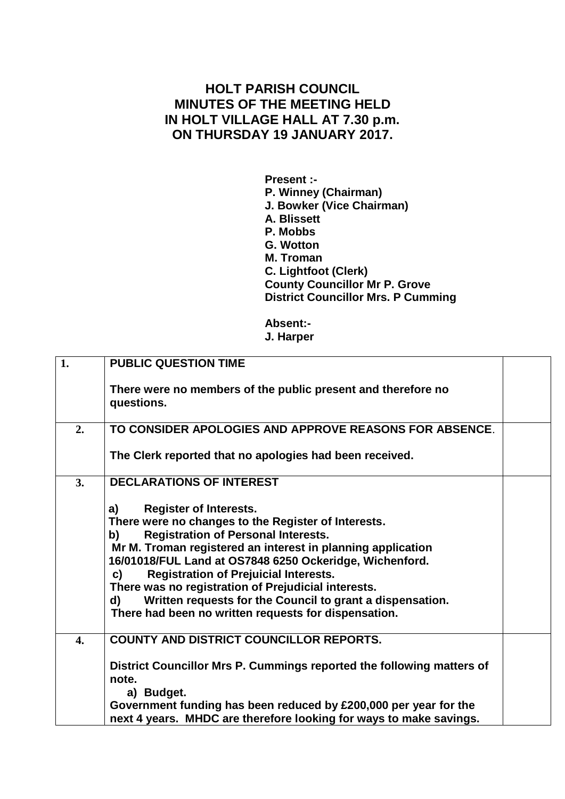## **HOLT PARISH COUNCIL MINUTES OF THE MEETING HELD IN HOLT VILLAGE HALL AT 7.30 p.m. ON THURSDAY 19 JANUARY 2017.**

**Present :- P. Winney (Chairman) J. Bowker (Vice Chairman) A. Blissett P. Mobbs G. Wotton M. Troman C. Lightfoot (Clerk) County Councillor Mr P. Grove District Councillor Mrs. P Cumming**

**Absent:- J. Harper**

| 1.               | <b>PUBLIC QUESTION TIME</b>                                                                                                                                                                                                                                                                                                                                                                                                                                                                                      |  |
|------------------|------------------------------------------------------------------------------------------------------------------------------------------------------------------------------------------------------------------------------------------------------------------------------------------------------------------------------------------------------------------------------------------------------------------------------------------------------------------------------------------------------------------|--|
|                  | There were no members of the public present and therefore no<br>questions.                                                                                                                                                                                                                                                                                                                                                                                                                                       |  |
| 2.               | TO CONSIDER APOLOGIES AND APPROVE REASONS FOR ABSENCE.                                                                                                                                                                                                                                                                                                                                                                                                                                                           |  |
|                  | The Clerk reported that no apologies had been received.                                                                                                                                                                                                                                                                                                                                                                                                                                                          |  |
| 3.               | <b>DECLARATIONS OF INTEREST</b>                                                                                                                                                                                                                                                                                                                                                                                                                                                                                  |  |
|                  | <b>Register of Interests.</b><br>a)<br>There were no changes to the Register of Interests.<br><b>Registration of Personal Interests.</b><br>b)<br>Mr M. Troman registered an interest in planning application<br>16/01018/FUL Land at OS7848 6250 Ockeridge, Wichenford.<br><b>Registration of Prejuicial Interests.</b><br>C)<br>There was no registration of Prejudicial interests.<br>Written requests for the Council to grant a dispensation.<br>d)<br>There had been no written requests for dispensation. |  |
| $\overline{4}$ . | COUNTY AND DISTRICT COUNCILLOR REPORTS.<br>District Councillor Mrs P. Cummings reported the following matters of<br>note.<br>a) Budget.                                                                                                                                                                                                                                                                                                                                                                          |  |
|                  | Government funding has been reduced by £200,000 per year for the<br>next 4 years. MHDC are therefore looking for ways to make savings.                                                                                                                                                                                                                                                                                                                                                                           |  |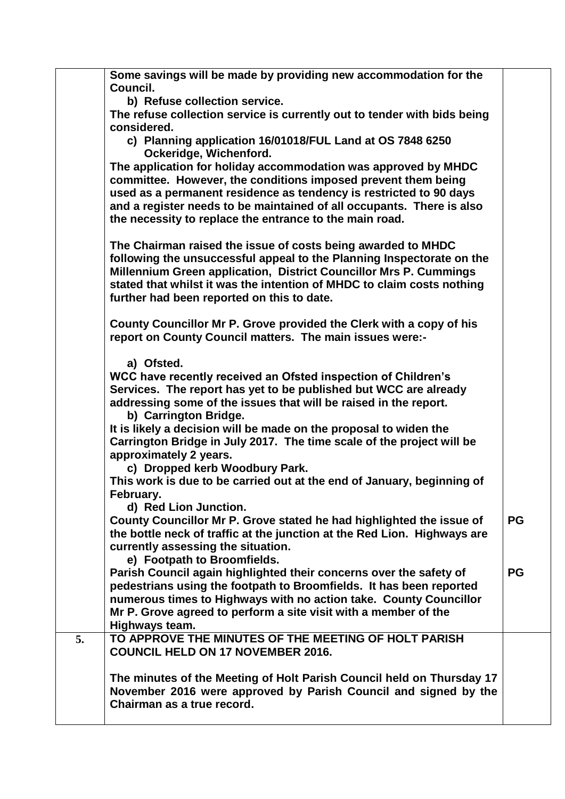|    | Some savings will be made by providing new accommodation for the<br>Council.                                                                                                                                                                                                                                                              |           |
|----|-------------------------------------------------------------------------------------------------------------------------------------------------------------------------------------------------------------------------------------------------------------------------------------------------------------------------------------------|-----------|
|    | b) Refuse collection service.                                                                                                                                                                                                                                                                                                             |           |
|    | The refuse collection service is currently out to tender with bids being<br>considered.                                                                                                                                                                                                                                                   |           |
|    | c) Planning application 16/01018/FUL Land at OS 7848 6250                                                                                                                                                                                                                                                                                 |           |
|    | Ockeridge, Wichenford.                                                                                                                                                                                                                                                                                                                    |           |
|    | The application for holiday accommodation was approved by MHDC<br>committee. However, the conditions imposed prevent them being<br>used as a permanent residence as tendency is restricted to 90 days<br>and a register needs to be maintained of all occupants. There is also<br>the necessity to replace the entrance to the main road. |           |
|    | The Chairman raised the issue of costs being awarded to MHDC                                                                                                                                                                                                                                                                              |           |
|    | following the unsuccessful appeal to the Planning Inspectorate on the                                                                                                                                                                                                                                                                     |           |
|    | Millennium Green application, District Councillor Mrs P. Cummings                                                                                                                                                                                                                                                                         |           |
|    | stated that whilst it was the intention of MHDC to claim costs nothing                                                                                                                                                                                                                                                                    |           |
|    | further had been reported on this to date.                                                                                                                                                                                                                                                                                                |           |
|    | County Councillor Mr P. Grove provided the Clerk with a copy of his                                                                                                                                                                                                                                                                       |           |
|    | report on County Council matters. The main issues were:-                                                                                                                                                                                                                                                                                  |           |
|    |                                                                                                                                                                                                                                                                                                                                           |           |
|    | a) Ofsted.                                                                                                                                                                                                                                                                                                                                |           |
|    | WCC have recently received an Ofsted inspection of Children's<br>Services. The report has yet to be published but WCC are already                                                                                                                                                                                                         |           |
|    | addressing some of the issues that will be raised in the report.                                                                                                                                                                                                                                                                          |           |
|    | b) Carrington Bridge.                                                                                                                                                                                                                                                                                                                     |           |
|    | It is likely a decision will be made on the proposal to widen the                                                                                                                                                                                                                                                                         |           |
|    | Carrington Bridge in July 2017. The time scale of the project will be                                                                                                                                                                                                                                                                     |           |
|    | approximately 2 years.                                                                                                                                                                                                                                                                                                                    |           |
|    | c) Dropped kerb Woodbury Park.                                                                                                                                                                                                                                                                                                            |           |
|    | This work is due to be carried out at the end of January, beginning of<br>February.                                                                                                                                                                                                                                                       |           |
|    | d) Red Lion Junction.                                                                                                                                                                                                                                                                                                                     |           |
|    | County Councillor Mr P. Grove stated he had highlighted the issue of                                                                                                                                                                                                                                                                      | <b>PG</b> |
|    | the bottle neck of traffic at the junction at the Red Lion. Highways are                                                                                                                                                                                                                                                                  |           |
|    | currently assessing the situation.                                                                                                                                                                                                                                                                                                        |           |
|    | e) Footpath to Broomfields.                                                                                                                                                                                                                                                                                                               |           |
|    | Parish Council again highlighted their concerns over the safety of<br>pedestrians using the footpath to Broomfields. It has been reported                                                                                                                                                                                                 | <b>PG</b> |
|    | numerous times to Highways with no action take. County Councillor                                                                                                                                                                                                                                                                         |           |
|    | Mr P. Grove agreed to perform a site visit with a member of the                                                                                                                                                                                                                                                                           |           |
|    | Highways team.                                                                                                                                                                                                                                                                                                                            |           |
| 5. | TO APPROVE THE MINUTES OF THE MEETING OF HOLT PARISH                                                                                                                                                                                                                                                                                      |           |
|    | <b>COUNCIL HELD ON 17 NOVEMBER 2016.</b>                                                                                                                                                                                                                                                                                                  |           |
|    | The minutes of the Meeting of Holt Parish Council held on Thursday 17                                                                                                                                                                                                                                                                     |           |
|    | November 2016 were approved by Parish Council and signed by the                                                                                                                                                                                                                                                                           |           |
|    | Chairman as a true record.                                                                                                                                                                                                                                                                                                                |           |
|    |                                                                                                                                                                                                                                                                                                                                           |           |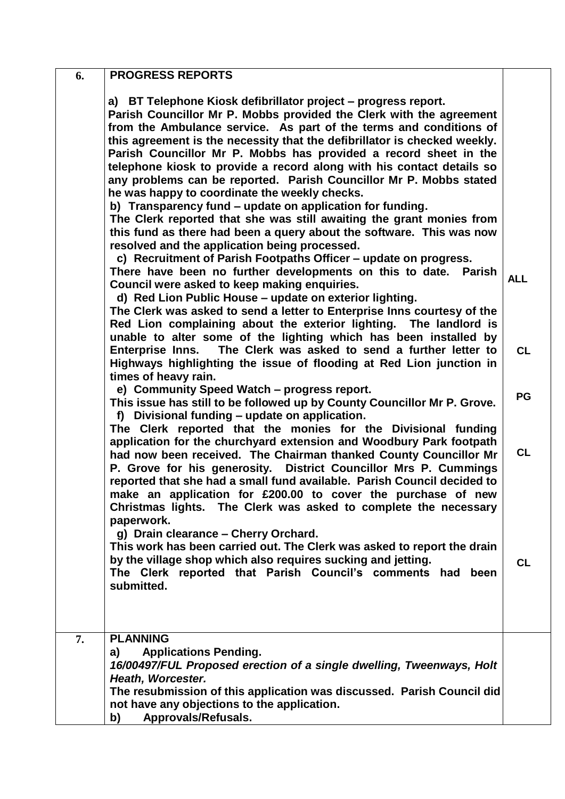| 6. | <b>PROGRESS REPORTS</b>                                                                                                                                                                                                                                                                                                                                                                                                                                                                                                                                                                                                                                                                                                                                                                                                                                                                        |            |
|----|------------------------------------------------------------------------------------------------------------------------------------------------------------------------------------------------------------------------------------------------------------------------------------------------------------------------------------------------------------------------------------------------------------------------------------------------------------------------------------------------------------------------------------------------------------------------------------------------------------------------------------------------------------------------------------------------------------------------------------------------------------------------------------------------------------------------------------------------------------------------------------------------|------------|
|    | a) BT Telephone Kiosk defibrillator project – progress report.<br>Parish Councillor Mr P. Mobbs provided the Clerk with the agreement<br>from the Ambulance service. As part of the terms and conditions of<br>this agreement is the necessity that the defibrillator is checked weekly.<br>Parish Councillor Mr P. Mobbs has provided a record sheet in the<br>telephone kiosk to provide a record along with his contact details so<br>any problems can be reported. Parish Councillor Mr P. Mobbs stated<br>he was happy to coordinate the weekly checks.<br>b) Transparency fund - update on application for funding.<br>The Clerk reported that she was still awaiting the grant monies from<br>this fund as there had been a query about the software. This was now<br>resolved and the application being processed.<br>c) Recruitment of Parish Footpaths Officer - update on progress. |            |
|    | There have been no further developments on this to date. Parish<br>Council were asked to keep making enquiries.<br>d) Red Lion Public House - update on exterior lighting.<br>The Clerk was asked to send a letter to Enterprise Inns courtesy of the<br>Red Lion complaining about the exterior lighting. The landlord is                                                                                                                                                                                                                                                                                                                                                                                                                                                                                                                                                                     | <b>ALL</b> |
|    | unable to alter some of the lighting which has been installed by<br>The Clerk was asked to send a further letter to<br><b>Enterprise Inns.</b><br>Highways highlighting the issue of flooding at Red Lion junction in<br>times of heavy rain.                                                                                                                                                                                                                                                                                                                                                                                                                                                                                                                                                                                                                                                  | <b>CL</b>  |
|    | e) Community Speed Watch - progress report.<br>This issue has still to be followed up by County Councillor Mr P. Grove.<br>f) Divisional funding - update on application.<br>The Clerk reported that the monies for the Divisional funding                                                                                                                                                                                                                                                                                                                                                                                                                                                                                                                                                                                                                                                     | <b>PG</b>  |
|    | application for the churchyard extension and Woodbury Park footpath<br>had now been received. The Chairman thanked County Councillor Mr<br>P. Grove for his generosity. District Councillor Mrs P. Cummings<br>reported that she had a small fund available. Parish Council decided to<br>make an application for £200.00 to cover the purchase of new<br>Christmas lights. The Clerk was asked to complete the necessary<br>paperwork.                                                                                                                                                                                                                                                                                                                                                                                                                                                        | <b>CL</b>  |
|    | g) Drain clearance - Cherry Orchard.<br>This work has been carried out. The Clerk was asked to report the drain<br>by the village shop which also requires sucking and jetting.<br>The Clerk reported that Parish Council's comments had<br>been<br>submitted.                                                                                                                                                                                                                                                                                                                                                                                                                                                                                                                                                                                                                                 | <b>CL</b>  |
| 7. | <b>PLANNING</b><br><b>Applications Pending.</b><br>a)                                                                                                                                                                                                                                                                                                                                                                                                                                                                                                                                                                                                                                                                                                                                                                                                                                          |            |
|    | 16/00497/FUL Proposed erection of a single dwelling, Tweenways, Holt<br>Heath, Worcester.                                                                                                                                                                                                                                                                                                                                                                                                                                                                                                                                                                                                                                                                                                                                                                                                      |            |
|    | The resubmission of this application was discussed. Parish Council did<br>not have any objections to the application.<br>Approvals/Refusals.<br>b)                                                                                                                                                                                                                                                                                                                                                                                                                                                                                                                                                                                                                                                                                                                                             |            |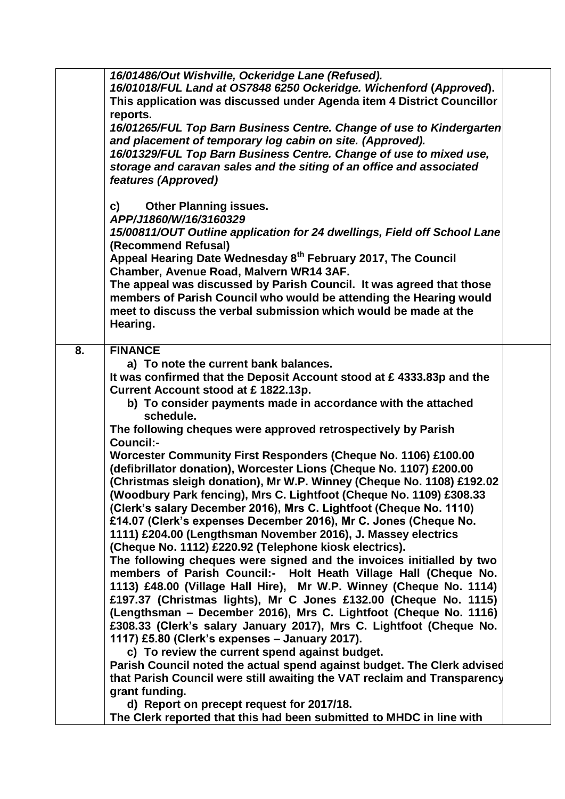|    | 16/01486/Out Wishville, Ockeridge Lane (Refused).<br>16/01018/FUL Land at OS7848 6250 Ockeridge. Wichenford (Approved).<br>This application was discussed under Agenda item 4 District Councillor<br>reports.                                                                                          |  |
|----|--------------------------------------------------------------------------------------------------------------------------------------------------------------------------------------------------------------------------------------------------------------------------------------------------------|--|
|    | 16/01265/FUL Top Barn Business Centre. Change of use to Kindergarten<br>and placement of temporary log cabin on site. (Approved).<br>16/01329/FUL Top Barn Business Centre. Change of use to mixed use,<br>storage and caravan sales and the siting of an office and associated<br>features (Approved) |  |
|    | <b>Other Planning issues.</b><br>C)<br>APP/J1860/W/16/3160329                                                                                                                                                                                                                                          |  |
|    | 15/00811/OUT Outline application for 24 dwellings, Field off School Lane<br>(Recommend Refusal)<br>Appeal Hearing Date Wednesday 8 <sup>th</sup> February 2017, The Council                                                                                                                            |  |
|    | Chamber, Avenue Road, Malvern WR14 3AF.                                                                                                                                                                                                                                                                |  |
|    | The appeal was discussed by Parish Council. It was agreed that those<br>members of Parish Council who would be attending the Hearing would<br>meet to discuss the verbal submission which would be made at the<br>Hearing.                                                                             |  |
| 8. | <b>FINANCE</b>                                                                                                                                                                                                                                                                                         |  |
|    | a) To note the current bank balances.                                                                                                                                                                                                                                                                  |  |
|    | It was confirmed that the Deposit Account stood at $\epsilon$ 4333.83p and the                                                                                                                                                                                                                         |  |
|    | Current Account stood at £1822.13p.<br>b) To consider payments made in accordance with the attached<br>schedule.                                                                                                                                                                                       |  |
|    | The following cheques were approved retrospectively by Parish<br>Council:-                                                                                                                                                                                                                             |  |
|    | Worcester Community First Responders (Cheque No. 1106) £100.00                                                                                                                                                                                                                                         |  |
|    | (defibrillator donation), Worcester Lions (Cheque No. 1107) £200.00<br>(Christmas sleigh donation), Mr W.P. Winney (Cheque No. 1108) £192.02                                                                                                                                                           |  |
|    | (Woodbury Park fencing), Mrs C. Lightfoot (Cheque No. 1109) £308.33                                                                                                                                                                                                                                    |  |
|    | (Clerk's salary December 2016), Mrs C. Lightfoot (Cheque No. 1110)                                                                                                                                                                                                                                     |  |
|    | £14.07 (Clerk's expenses December 2016), Mr C. Jones (Cheque No.<br>1111) £204.00 (Lengthsman November 2016), J. Massey electrics                                                                                                                                                                      |  |
|    | (Cheque No. 1112) £220.92 (Telephone kiosk electrics).                                                                                                                                                                                                                                                 |  |
|    | The following cheques were signed and the invoices initialled by two                                                                                                                                                                                                                                   |  |
|    | members of Parish Council:- Holt Heath Village Hall (Cheque No.<br>1113) £48.00 (Village Hall Hire), Mr W.P. Winney (Cheque No. 1114)                                                                                                                                                                  |  |
|    | £197.37 (Christmas lights), Mr C Jones £132.00 (Cheque No. 1115)                                                                                                                                                                                                                                       |  |
|    | (Lengthsman - December 2016), Mrs C. Lightfoot (Cheque No. 1116)                                                                                                                                                                                                                                       |  |
|    | £308.33 (Clerk's salary January 2017), Mrs C. Lightfoot (Cheque No.<br>1117) £5.80 (Clerk's expenses - January 2017).                                                                                                                                                                                  |  |
|    | c) To review the current spend against budget.                                                                                                                                                                                                                                                         |  |
|    | Parish Council noted the actual spend against budget. The Clerk advised                                                                                                                                                                                                                                |  |
|    | that Parish Council were still awaiting the VAT reclaim and Transparency<br>grant funding.                                                                                                                                                                                                             |  |
|    | d) Report on precept request for 2017/18.                                                                                                                                                                                                                                                              |  |
|    | The Clerk reported that this had been submitted to MHDC in line with                                                                                                                                                                                                                                   |  |